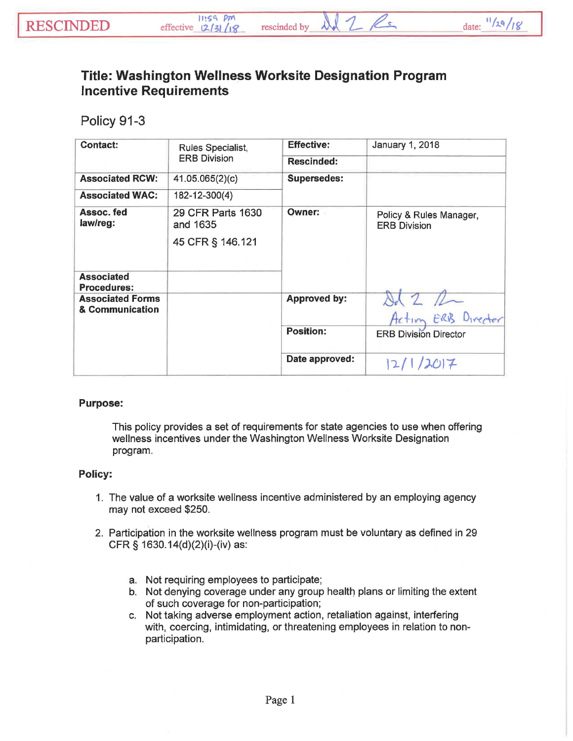## Title: Washington Wellness Worksite Designation Program Incentive Requirements

Policy 91-3

| Contact:                                   | Rules Specialist,<br><b>ERB Division</b> | <b>Effective:</b>   | <b>January 1, 2018</b>                         |
|--------------------------------------------|------------------------------------------|---------------------|------------------------------------------------|
|                                            |                                          | <b>Rescinded:</b>   |                                                |
| <b>Associated RCW:</b>                     | 41.05.065(2)(c)                          | <b>Supersedes:</b>  |                                                |
| <b>Associated WAC:</b>                     | 182-12-300(4)                            |                     |                                                |
| Assoc. fed<br>law/reg:                     | 29 CFR Parts 1630<br>and 1635            | <b>Owner:</b>       | Policy & Rules Manager,<br><b>ERB Division</b> |
|                                            | 45 CFR § 146.121                         |                     |                                                |
| <b>Associated</b><br><b>Procedures:</b>    |                                          |                     |                                                |
| <b>Associated Forms</b><br>& Communication |                                          | <b>Approved by:</b> |                                                |
|                                            |                                          |                     | ERB Directo<br>Action                          |
|                                            |                                          | <b>Position:</b>    | <b>ERB Division Director</b>                   |
|                                            |                                          | Date approved:      | 2017<br>12/                                    |

## Purpose:

This policy provides a set of requirements for state agencies to use when offering wellness incentives under the Washington Wellness Worksite Designation program.

## Policy:

- 1. The value of a worksite wellness incentive administered by an employing agency may not exceed \$250.
- 2. Participation in the worksite wellness program must be voluntary as defined in 29 CFR § 1630.14(d)(2)(i)-(iv) as:
	- a. Not requiring employees to participate;
	- b. Not denying coverage under any group health plans or limiting the extent of such coverage for non-participation;
	- c. Not taking adverse employment action, retaliation against, interfering with, coercing, intimidating, or threatening employees in relation to nonparticipation.